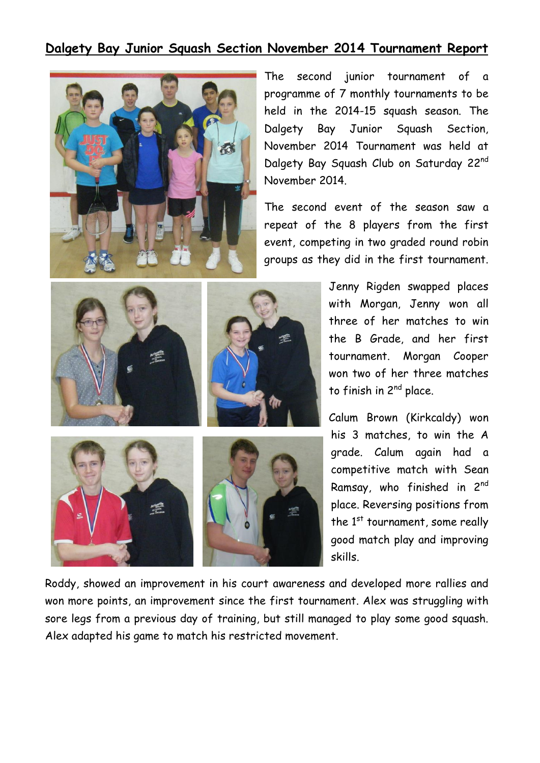## **Dalgety Bay Junior Squash Section November 2014 Tournament Report**



The second junior tournament of a programme of 7 monthly tournaments to be held in the 2014-15 squash season. The Dalgety Bay Junior Squash Section, November 2014 Tournament was held at Dalgety Bay Squash Club on Saturday 22nd November 2014.

The second event of the season saw a repeat of the 8 players from the first event, competing in two graded round robin groups as they did in the first tournament.



Jenny Rigden swapped places with Morgan, Jenny won all three of her matches to win the B Grade, and her first tournament. Morgan Cooper won two of her three matches to finish in 2<sup>nd</sup> place.

Calum Brown (Kirkcaldy) won his 3 matches, to win the A grade. Calum again had a competitive match with Sean Ramsay, who finished in 2nd place. Reversing positions from the  $1<sup>st</sup>$  tournament, some really good match play and improving skills.

Roddy, showed an improvement in his court awareness and developed more rallies and won more points, an improvement since the first tournament. Alex was struggling with sore legs from a previous day of training, but still managed to play some good squash. Alex adapted his game to match his restricted movement.